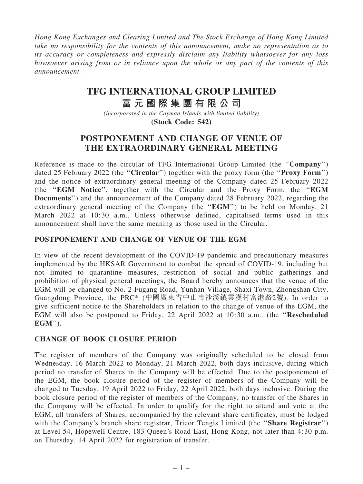Hong Kong Exchanges and Clearing Limited and The Stock Exchange of Hong Kong Limited take no responsibility for the contents of this announcement, make no representation as to its accuracy or completeness and expressly disclaim any liability whatsoever for any loss howsoever arising from or in reliance upon the whole or any part of the contents of this announcement.

# **TFG INTERNATIONAL GROUP LIMITED**

# **富 元 國 際 集 團 有 限 公 司**

*(incorporated in the Cayman Islands with limited liability)* **(Stock Code: 542)**

## POSTPONEMENT AND CHANGE OF VENUE OF THE EXTRAORDINARY GENERAL MEETING

Reference is made to the circular of TFG International Group Limited (the ''Company'') dated 25 February 2022 (the "**Circular**") together with the proxy form (the "**Proxy Form**") and the notice of extraordinary general meeting of the Company dated 25 February 2022 (the ''EGM Notice'', together with the Circular and the Proxy Form, the ''EGM Documents'') and the announcement of the Company dated 28 February 2022, regarding the extraordinary general meeting of the Company (the "EGM") to be held on Monday, 21 March 2022 at 10:30 a.m.. Unless otherwise defined, capitalised terms used in this announcement shall have the same meaning as those used in the Circular.

### POSTPONEMENT AND CHANGE OF VENUE OF THE EGM

In view of the recent development of the COVID-19 pandemic and precautionary measures implemented by the HKSAR Government to combat the spread of COVID-19, including but not limited to quarantine measures, restriction of social and public gatherings and prohibition of physical general meetings, the Board hereby announces that the venue of the EGM will be changed to No. 2 Fugang Road, Yunhan Village, Shaxi Town, Zhongshan City, Guangdong Province, the PRC\* (中國廣東省中山市沙溪鎮雲漢村富港路2號). In order to give sufficient notice to the Shareholders in relation to the change of venue of the EGM, the EGM will also be postponed to Friday, 22 April 2022 at 10:30 a.m.. (the ''Rescheduled EGM'').

### CHANGE OF BOOK CLOSURE PERIOD

The register of members of the Company was originally scheduled to be closed from Wednesday, 16 March 2022 to Monday, 21 March 2022, both days inclusive, during which period no transfer of Shares in the Company will be effected. Due to the postponement of the EGM, the book closure period of the register of members of the Company will be changed to Tuesday, 19 April 2022 to Friday, 22 April 2022, both days inclusive. During the book closure period of the register of members of the Company, no transfer of the Shares in the Company will be effected. In order to qualify for the right to attend and vote at the EGM, all transfers of Shares, accompanied by the relevant share certificates, must be lodged with the Company's branch share registrar, Tricor Tengis Limited (the "Share Registrar") at Level 54, Hopewell Centre, 183 Queen's Road East, Hong Kong, not later than 4:30 p.m. on Thursday, 14 April 2022 for registration of transfer.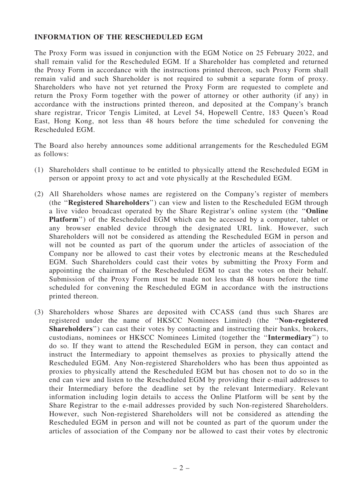#### INFORMATION OF THE RESCHEDULED EGM

The Proxy Form was issued in conjunction with the EGM Notice on 25 February 2022, and shall remain valid for the Rescheduled EGM. If a Shareholder has completed and returned the Proxy Form in accordance with the instructions printed thereon, such Proxy Form shall remain valid and such Shareholder is not required to submit a separate form of proxy. Shareholders who have not yet returned the Proxy Form are requested to complete and return the Proxy Form together with the power of attorney or other authority (if any) in accordance with the instructions printed thereon, and deposited at the Company's branch share registrar, Tricor Tengis Limited, at Level 54, Hopewell Centre, 183 Queen's Road East, Hong Kong, not less than 48 hours before the time scheduled for convening the Rescheduled EGM.

The Board also hereby announces some additional arrangements for the Rescheduled EGM as follows:

- (1) Shareholders shall continue to be entitled to physically attend the Rescheduled EGM in person or appoint proxy to act and vote physically at the Rescheduled EGM.
- (2) All Shareholders whose names are registered on the Company's register of members (the ''Registered Shareholders'') can view and listen to the Rescheduled EGM through a live video broadcast operated by the Share Registrar's online system (the ''Online Platform'') of the Rescheduled EGM which can be accessed by a computer, tablet or any browser enabled device through the designated URL link. However, such Shareholders will not be considered as attending the Rescheduled EGM in person and will not be counted as part of the quorum under the articles of association of the Company nor be allowed to cast their votes by electronic means at the Rescheduled EGM. Such Shareholders could cast their votes by submitting the Proxy Form and appointing the chairman of the Rescheduled EGM to cast the votes on their behalf. Submission of the Proxy Form must be made not less than 48 hours before the time scheduled for convening the Rescheduled EGM in accordance with the instructions printed thereon.
- (3) Shareholders whose Shares are deposited with CCASS (and thus such Shares are registered under the name of HKSCC Nominees Limited) (the ''Non-registered Shareholders'') can cast their votes by contacting and instructing their banks, brokers, custodians, nominees or HKSCC Nominees Limited (together the ''Intermediary'') to do so. If they want to attend the Rescheduled EGM in person, they can contact and instruct the Intermediary to appoint themselves as proxies to physically attend the Rescheduled EGM. Any Non-registered Shareholders who has been thus appointed as proxies to physically attend the Rescheduled EGM but has chosen not to do so in the end can view and listen to the Rescheduled EGM by providing their e-mail addresses to their Intermediary before the deadline set by the relevant Intermediary. Relevant information including login details to access the Online Platform will be sent by the Share Registrar to the e-mail addresses provided by such Non-registered Shareholders. However, such Non-registered Shareholders will not be considered as attending the Rescheduled EGM in person and will not be counted as part of the quorum under the articles of association of the Company nor be allowed to cast their votes by electronic